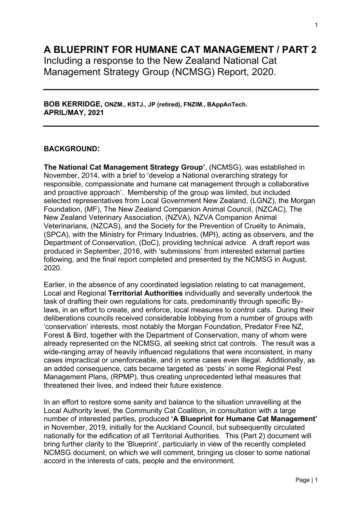# **A BLUEPRINT FOR HUMANE CAT MANAGEMENT / PART 2**

Including a response to the New Zealand National Cat Management Strategy Group (NCMSG) Report, 2020.

**BOB KERRIDGE, ONZM., KSTJ., JP (retired), FNZIM., BAppAnTech. APRIL/MAY, 2021**

## **BACKGROUND:**

**The National Cat Management Strategy Group'**, (NCMSG), was established in November, 2014, with a brief to 'develop a National overarching strategy for responsible, compassionate and humane cat management through a collaborative and proactive approach'. Membership of the group was limited, but included selected representatives from Local Government New Zealand, (LGNZ), the Morgan Foundation, (MF), The New Zealand Companion Animal Council, (NZCAC), The New Zealand Veterinary Association, (NZVA), NZVA Companion Animal Veterinarians, (NZCAS), and the Society for the Prevention of Cruelty to Animals, (SPCA), with the Ministry for Primary Industries, (MPI), acting as observers, and the Department of Conservation, (DoC), providing technical advice. A draft report was produced in September, 2016, with 'submissions' from interested external parties following, and the final report completed and presented by the NCMSG in August, 2020.

Earlier, in the absence of any coordinated legislation relating to cat management, Local and Regional **Territorial Authorities** individually and severally undertook the task of drafting their own regulations for cats, predominantly through specific Bylaws, in an effort to create, and enforce, local measures to control cats. During their deliberations councils received considerable lobbying from a number of groups with 'conservation' interests, most notably the Morgan Foundation, Predator Free NZ, Forest & Bird, together with the Department of Conservation, many of whom were already represented on the NCMSG, all seeking strict cat controls. The result was a wide-ranging array of heavily influenced regulations that were inconsistent, in many cases impractical or unenforceable, and in some cases even illegal. Additionally, as an added consequence, cats became targeted as 'pests' in some Regional Pest Management Plans, (RPMP), thus creating unprecedented lethal measures that threatened their lives, and indeed their future existence.

In an effort to restore some sanity and balance to the situation unravelling at the Local Authority level, the Community Cat Coalition, in consultation with a large number of interested parties, produced **'A Blueprint for Humane Cat Management'** in November, 2019, initially for the Auckland Council, but subsequently circulated nationally for the edification of all Territorial Authorities. This (Part 2) document will bring further clarity to the 'Blueprint', particularly in view of the recently completed NCMSG document, on which we will comment, bringing us closer to some national accord in the interests of cats, people and the environment.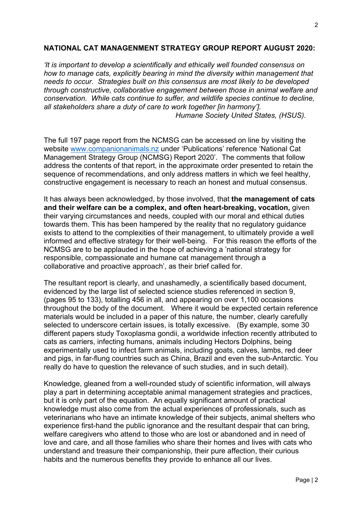### **NATIONAL CAT MANAGENMENT STRATEGY GROUP REPORT AUGUST 2020:**

*'It is important to develop a scientifically and ethically well founded consensus on how to manage cats, explicitly bearing in mind the diversity within management that needs to occur. Strategies built on this consensus are most likely to be developed through constructive, collaborative engagement between those in animal welfare and conservation. While cats continue to suffer, and wildlife species continue to decline, all stakeholders share a duty of care to work together [in harmony']. Humane Society United States, (HSUS).*

The full 197 page report from the NCMSG can be accessed on line by visiting the website [www.companionanimals.nz](http://www.companionanimals.nz/) under 'Publications' reference 'National Cat Management Strategy Group (NCMSG) Report 2020'.The comments that follow address the contents of that report, in the approximate order presented to retain the sequence of recommendations, and only address matters in which we feel healthy, constructive engagement is necessary to reach an honest and mutual consensus.

It has always been acknowledged, by those involved, that **the management of cats and their welfare can be a complex, and often heart-breaking, vocation,** given their varying circumstances and needs, coupled with our moral and ethical duties towards them. This has been hampered by the reality that no regulatory guidance exists to attend to the complexities of their management, to ultimately provide a well informed and effective strategy for their well-being.For this reason the efforts of the NCMSG are to be applauded in the hope of achieving a 'national strategy for responsible, compassionate and humane cat management through a collaborative and proactive approach', as their brief called for.

The resultant report is clearly, and unashamedly, a scientifically based document, evidenced by the large list of selected science studies referenced in section 9, (pages 95 to 133), totalling 456 in all, and appearing on over 1,100 occasions throughout the body of the document. Where it would be expected certain reference materials would be included in a paper of this nature, the number, clearly carefully selected to underscore certain issues, is totally excessive. (By example, some 30 different papers study Toxoplasma gondii, a worldwide infection recently attributed to cats as carriers, infecting humans, animals including Hectors Dolphins, being experimentally used to infect farm animals, including goats, calves, lambs, red deer and pigs, in far-flung countries such as China, Brazil and even the sub-Antarctic. You really do have to question the relevance of such studies, and in such detail).

Knowledge, gleaned from a well-rounded study of scientific information, will always play a part in determining acceptable animal management strategies and practices, but it is only part of the equation. An equally significant amount of practical knowledge must also come from the actual experiences of professionals, such as veterinarians who have an intimate knowledge of their subjects, animal shelters who experience first-hand the public ignorance and the resultant despair that can bring, welfare caregivers who attend to those who are lost or abandoned and in need of love and care, and all those families who share their homes and lives with cats who understand and treasure their companionship, their pure affection, their curious habits and the numerous benefits they provide to enhance all our lives.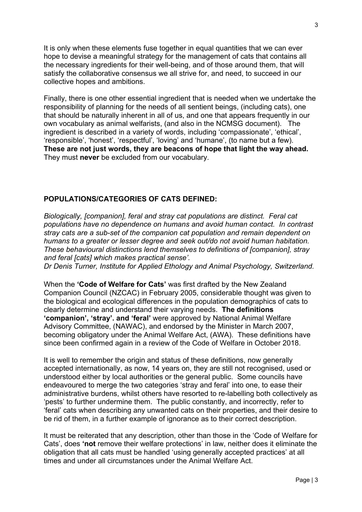It is only when these elements fuse together in equal quantities that we can ever hope to devise a meaningful strategy for the management of cats that contains all the necessary ingredients for their well-being, and of those around them, that will satisfy the collaborative consensus we all strive for, and need, to succeed in our collective hopes and ambitions.

Finally, there is one other essential ingredient that is needed when we undertake the responsibility of planning for the needs of all sentient beings, (including cats), one that should be naturally inherent in all of us, and one that appears frequently in our own vocabulary as animal welfarists, (and also in the NCMSG document). The ingredient is described in a variety of words, including 'compassionate', 'ethical', 'responsible', 'honest', 'respectful', 'loving' and 'humane', (to name but a few). **These are not just words, they are beacons of hope that light the way ahead.**  They must **never** be excluded from our vocabulary.

#### **POPULATIONS/CATEGORIES OF CATS DEFINED:**

*Biologically, [companion], feral and stray cat populations are distinct. Feral cat populations have no dependence on humans and avoid human contact. In contrast stray cats are a sub-set of the companion cat population and remain dependent on humans to a greater or lesser degree and seek out/do not avoid human habitation. These behavioural distinctions lend themselves to definitions of [companion], stray and feral [cats] which makes practical sense'.*

*Dr Denis Turner, Institute for Applied Ethology and Animal Psychology, Switzerland.* 

When the **'Code of Welfare for Cats'** was first drafted by the New Zealand Companion Council (NZCAC) in February 2005, considerable thought was given to the biological and ecological differences in the population demographics of cats to clearly determine and understand their varying needs. **The definitions 'companion', 'stray'. and 'feral'** were approved by National Animal Welfare Advisory Committee, (NAWAC), and endorsed by the Minister in March 2007, becoming obligatory under the Animal Welfare Act, (AWA). These definitions have since been confirmed again in a review of the Code of Welfare in October 2018.

It is well to remember the origin and status of these definitions, now generally accepted internationally, as now, 14 years on, they are still not recognised, used or understood either by local authorities or the general public. Some councils have endeavoured to merge the two categories 'stray and feral' into one, to ease their administrative burdens, whilst others have resorted to re-labelling both collectively as 'pests' to further undermine them. The public constantly, and incorrectly, refer to 'feral' cats when describing any unwanted cats on their properties, and their desire to be rid of them, in a further example of ignorance as to their correct description.

It must be reiterated that any description, other than those in the 'Code of Welfare for Cats', does **'not** remove their welfare protections' in law, neither does it eliminate the obligation that all cats must be handled 'using generally accepted practices' at all times and under all circumstances under the Animal Welfare Act.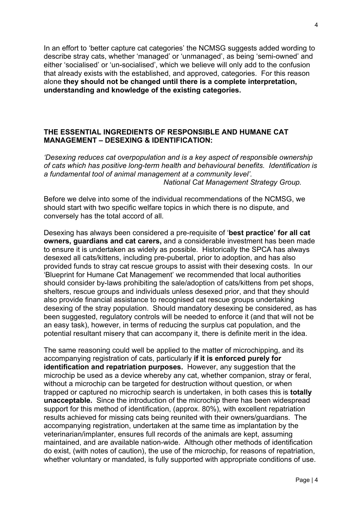In an effort to 'better capture cat categories' the NCMSG suggests added wording to describe stray cats, whether 'managed' or 'unmanaged', as being 'semi-owned' and either 'socialised' or 'un-socialised', which we believe will only add to the confusion that already exists with the established, and approved, categories. For this reason alone **they should not be changed until there is a complete interpretation, understanding and knowledge of the existing categories.**

## **THE ESSENTIAL INGREDIENTS OF RESPONSIBLE AND HUMANE CAT MANAGEMENT – DESEXING & IDENTIFICATION:**

*'Desexing reduces cat overpopulation and is a key aspect of responsible ownership of cats which has positive long-term health and behavioural benefits. Identification is a fundamental tool of animal management at a community level'. National Cat Management Strategy Group.* 

Before we delve into some of the individual recommendations of the NCMSG, we should start with two specific welfare topics in which there is no dispute, and conversely has the total accord of all.

Desexing has always been considered a pre-requisite of '**best practice' for all cat owners, guardians and cat carers,** and a considerable investment has been made to ensure it is undertaken as widely as possible. Historically the SPCA has always desexed all cats/kittens, including pre-pubertal, prior to adoption, and has also provided funds to stray cat rescue groups to assist with their desexing costs. In our 'Blueprint for Humane Cat Management' we recommended that local authorities should consider by-laws prohibiting the sale/adoption of cats/kittens from pet shops, shelters, rescue groups and individuals unless desexed prior, and that they should also provide financial assistance to recognised cat rescue groups undertaking desexing of the stray population. Should mandatory desexing be considered, as has been suggested, regulatory controls will be needed to enforce it (and that will not be an easy task), however, in terms of reducing the surplus cat population, and the potential resultant misery that can accompany it, there is definite merit in the idea.

The same reasoning could well be applied to the matter of microchipping, and its accompanying registration of cats, particularly **if it is enforced purely for identification and repatriation purposes.** However, any suggestion that the microchip be used as a device whereby any cat, whether companion, stray or feral, without a microchip can be targeted for destruction without question, or when trapped or captured no microchip search is undertaken, in both cases this is **totally unacceptable.** Since the introduction of the microchip there has been widespread support for this method of identification, (approx. 80%), with excellent repatriation results achieved for missing cats being reunited with their owners/guardians. The accompanying registration, undertaken at the same time as implantation by the veterinarian/implanter, ensures full records of the animals are kept, assuming maintained, and are available nation-wide. Although other methods of identification do exist, (with notes of caution), the use of the microchip, for reasons of repatriation, whether voluntary or mandated, is fully supported with appropriate conditions of use.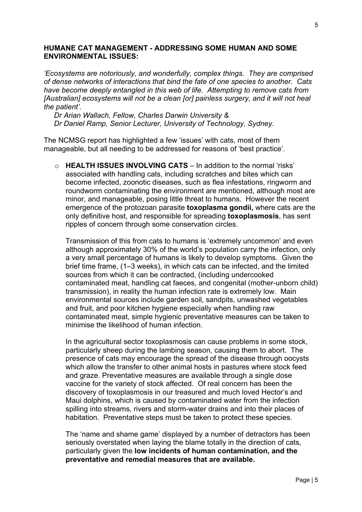#### **HUMANE CAT MANAGEMENT - ADDRESSING SOME HUMAN AND SOME ENVIRONMENTAL ISSUES:**

*'Ecosystems are notoriously, and wonderfully, complex things. They are comprised of dense networks of interactions that bind the fate of one species to another. Cats have become deeply entangled in this web of life. Attempting to remove cats from [Australian] ecosystems will not be a clean [or] painless surgery, and it will not heal the patient'.*

*Dr Arian Wallach, Fellow, Charles Darwin University & Dr Daniel Ramp, Senior Lecturer, University of Technology, Sydney.*

The NCMSG report has highlighted a few 'issues' with cats, most of them manageable, but all needing to be addressed for reasons of 'best practice'.

o **HEALTH ISSUES INVOLVING CATS** – In addition to the normal 'risks' associated with handling cats, including scratches and bites which can become infected, zoonotic diseases, such as flea infestations, ringworm and roundworm contaminating the environment are mentioned, although most are minor, and manageable, posing little threat to humans. However the recent emergence of the protozoan parasite **toxoplasma gondii,** where cats are the only definitive host, and responsible for spreading **toxoplasmosis**, has sent ripples of concern through some conservation circles.

Transmission of this from cats to humans is 'extremely uncommon' and even although approximately 30% of the world's population carry the infection, only a very small percentage of humans is likely to develop symptoms. Given the brief time frame, (1–3 weeks), in which cats can be infected, and the limited sources from which it can be contracted, (including undercooked contaminated meat, handling cat faeces, and congenital (mother-unborn child) transmission), in reality the human infection rate is extremely low. Main environmental sources include garden soil, sandpits, unwashed vegetables and fruit, and poor kitchen hygiene especially when handling raw contaminated meat, simple hygienic preventative measures can be taken to minimise the likelihood of human infection.

In the agricultural sector toxoplasmosis can cause problems in some stock, particularly sheep during the lambing season, causing them to abort. The presence of cats may encourage the spread of the disease through oocysts which allow the transfer to other animal hosts in pastures where stock feed and graze. Preventative measures are available through a single dose vaccine for the variety of stock affected. Of real concern has been the discovery of toxoplasmosis in our treasured and much loved Hector's and Maui dolphins, which is caused by contaminated water from the infection spilling into streams, rivers and storm-water drains and into their places of habitation. Preventative steps must be taken to protect these species.

The 'name and shame game' displayed by a number of detractors has been seriously overstated when laying the blame totally in the direction of cats, particularly given the **low incidents of human contamination, and the preventative and remedial measures that are available.**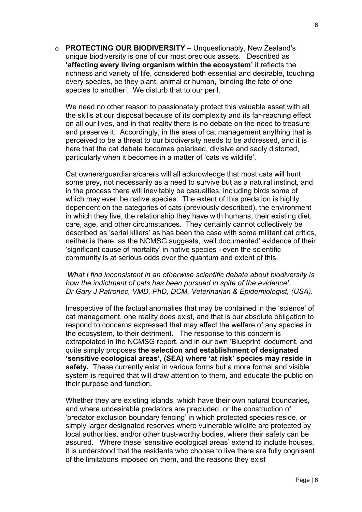o **PROTECTING OUR BIODIVERSITY** – Unquestionably, New Zealand's unique biodiversity is one of our most precious assets. Described as **'affecting every living organism within the ecosystem'** it reflects the richness and variety of life, considered both essential and desirable, touching every species, be they plant, animal or human, 'binding the fate of one species to another'. We disturb that to our peril.

We need no other reason to passionately protect this valuable asset with all the skills at our disposal because of its complexity and its far-reaching effect on all our lives, and in that reality there is no debate on the need to treasure and preserve it. Accordingly, in the area of cat management anything that is perceived to be a threat to our biodiversity needs to be addressed, and it is here that the cat debate becomes polarised, divisive and sadly distorted, particularly when it becomes in a matter of 'cats vs wildlife'.

Cat owners/guardians/carers will all acknowledge that most cats will hunt some prey, not necessarily as a need to survive but as a natural instinct, and in the process there will inevitably be casualties, including birds some of which may even be native species. The extent of this predation is highly dependent on the categories of cats (previously described), the environment in which they live, the relationship they have with humans, their existing diet, care, age, and other circumstances. They certainly cannot collectively be described as 'serial killers' as has been the case with some militant cat critics, neither is there, as the NCMSG suggests, 'well documented' evidence of their 'significant cause of mortality' in native species - even the scientific community is at serious odds over the quantum and extent of this.

## *'What I find inconsistent in an otherwise scientific debate about biodiversity is how the indictment of cats has been pursued in spite of the evidence'. Dr Gary J Patronec, VMD, PhD, DCM, Veterinarian & Epidemiologist, (USA).*

Irrespective of the factual anomalies that may be contained in the 'science' of cat management, one reality does exist, and that is our absolute obligation to respond to concerns expressed that may affect the welfare of any species in the ecosystem, to their detriment. The response to this concern is extrapolated in the NCMSG report, and in our own 'Blueprint' document, and quite simply proposes **the selection and establishment of designated 'sensitive ecological areas', (SEA) where 'at risk' species may reside in safety.** These currently exist in various forms but a more formal and visible system is required that will draw attention to them, and educate the public on their purpose and function.

Whether they are existing islands, which have their own natural boundaries, and where undesirable predators are precluded, or the construction of 'predator exclusion boundary fencing' in which protected species reside, or simply larger designated reserves where vulnerable wildlife are protected by local authorities, and/or other trust-worthy bodies, where their safety can be assured. Where these 'sensitive ecological areas' extend to include houses, it is understood that the residents who choose to live there are fully cognisant of the limitations imposed on them, and the reasons they exist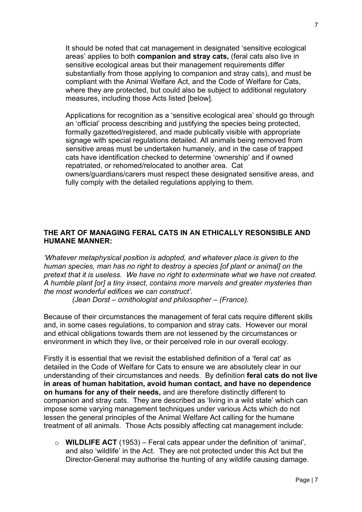It should be noted that cat management in designated 'sensitive ecological areas' applies to both **companion and stray cats,** (feral cats also live in sensitive ecological areas but their management requirements differ substantially from those applying to companion and stray cats), and must be compliant with the Animal Welfare Act, and the Code of Welfare for Cats, where they are protected, but could also be subject to additional regulatory measures, including those Acts listed [below].

Applications for recognition as a 'sensitive ecological area' should go through an 'official' process describing and justifying the species being protected, formally gazetted/registered, and made publically visible with appropriate signage with special regulations detailed. All animals being removed from sensitive areas must be undertaken humanely, and in the case of trapped cats have identification checked to determine 'ownership' and if owned repatriated, or rehomed/relocated to another area. Cat owners/guardians/carers must respect these designated sensitive areas, and fully comply with the detailed regulations applying to them.

## **THE ART OF MANAGING FERAL CATS IN AN ETHICALLY RESONSIBLE AND HUMANE MANNER:**

*'Whatever metaphysical position is adopted, and whatever place is given to the human species, man has no right to destroy a species [of plant or animal] on the pretext that it is useless. We have no right to exterminate what we have not created. A humble plant [or] a tiny insect, contains more marvels and greater mysteries than the most wonderful edifices we can construct'.*

 *(Jean Dorst – ornithologist and philosopher – (France).* 

Because of their circumstances the management of feral cats require different skills and, in some cases regulations, to companion and stray cats. However our moral and ethical obligations towards them are not lessened by the circumstances or environment in which they live, or their perceived role in our overall ecology.

Firstly it is essential that we revisit the established definition of a 'feral cat' as detailed in the Code of Welfare for Cats to ensure we are absolutely clear in our understanding of their circumstances and needs. By definition **feral cats do not live in areas of human habitation, avoid human contact, and have no dependence on humans for any of their needs,** and are therefore distinctly different to companion and stray cats. They are described as 'living in a wild state' which can impose some varying management techniques under various Acts which do not lessen the general principles of the Animal Welfare Act calling for the humane treatment of all animals. Those Acts possibly affecting cat management include:

o **WILDLIFE ACT** (1953) – Feral cats appear under the definition of 'animal', and also 'wildlife' in the Act. They are not protected under this Act but the Director-General may authorise the hunting of any wildlife causing damage.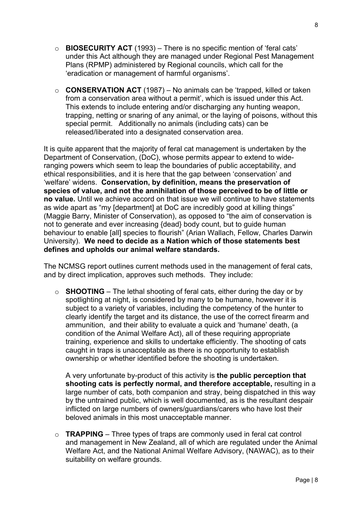- o **BIOSECURITY ACT** (1993) There is no specific mention of 'feral cats' under this Act although they are managed under Regional Pest Management Plans (RPMP) administered by Regional councils, which call for the 'eradication or management of harmful organisms'.
- o **CONSERVATION ACT** (1987) No animals can be 'trapped, killed or taken from a conservation area without a permit', which is issued under this Act. This extends to include entering and/or discharging any hunting weapon, trapping, netting or snaring of any animal, or the laying of poisons, without this special permit. Additionally no animals (including cats) can be released/liberated into a designated conservation area.

It is quite apparent that the majority of feral cat management is undertaken by the Department of Conservation, (DoC), whose permits appear to extend to wideranging powers which seem to leap the boundaries of public acceptability, and ethical responsibilities, and it is here that the gap between 'conservation' and 'welfare' widens. **Conservation, by definition, means the preservation of species of value, and not the annihilation of those perceived to be of little or no value.** Until we achieve accord on that issue we will continue to have statements as wide apart as "my [department] at DoC are incredibly good at killing things" (Maggie Barry, Minister of Conservation), as opposed to "the aim of conservation is not to generate and ever increasing {dead} body count, but to guide human behaviour to enable [all] species to flourish" (Arian Wallach, Fellow, Charles Darwin University). **We need to decide as a Nation which of those statements best defines and upholds our animal welfare standards.** 

The NCMSG report outlines current methods used in the management of feral cats, and by direct implication, approves such methods. They include:

o **SHOOTING** – The lethal shooting of feral cats, either during the day or by spotlighting at night, is considered by many to be humane, however it is subject to a variety of variables, including the competency of the hunter to clearly identify the target and its distance, the use of the correct firearm and ammunition, and their ability to evaluate a quick and 'humane' death, (a condition of the Animal Welfare Act), all of these requiring appropriate training, experience and skills to undertake efficiently. The shooting of cats caught in traps is unacceptable as there is no opportunity to establish ownership or whether identified before the shooting is undertaken.

A very unfortunate by-product of this activity is **the public perception that shooting cats is perfectly normal, and therefore acceptable,** resulting in a large number of cats, both companion and stray, being dispatched in this way by the untrained public, which is well documented, as is the resultant despair inflicted on large numbers of owners/guardians/carers who have lost their beloved animals in this most unacceptable manner.

o **TRAPPING** – Three types of traps are commonly used in feral cat control and management in New Zealand, all of which are regulated under the Animal Welfare Act, and the National Animal Welfare Advisory, (NAWAC), as to their suitability on welfare grounds.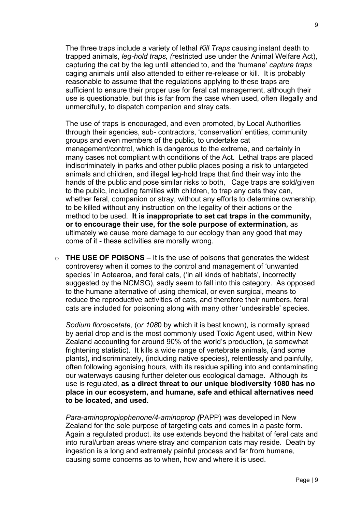The three traps include a variety of lethal *Kill Traps* causing instant death to trapped animals, *leg-hold traps, (*restricted use under the Animal Welfare Act), capturing the cat by the leg until attended to, and the 'humane' *capture traps*  caging animals until also attended to either re-release or kill. It is probably reasonable to assume that the regulations applying to these traps are sufficient to ensure their proper use for feral cat management, although their use is questionable, but this is far from the case when used, often illegally and unmercifully, to dispatch companion and stray cats.

The use of traps is encouraged, and even promoted, by Local Authorities through their agencies, sub- contractors, 'conservation' entities, community groups and even members of the public, to undertake cat management/control, which is dangerous to the extreme, and certainly in many cases not compliant with conditions of the Act. Lethal traps are placed indiscriminately in parks and other public places posing a risk to untargeted animals and children, and illegal leg-hold traps that find their way into the hands of the public and pose similar risks to both, Cage traps are sold/given to the public, including families with children, to trap any cats they can, whether feral, companion or stray, without any efforts to determine ownership, to be killed without any instruction on the legality of their actions or the method to be used. **It is inappropriate to set cat traps in the community, or to encourage their use, for the sole purpose of extermination,** as ultimately we cause more damage to our ecology than any good that may come of it - these activities are morally wrong.

o **THE USE OF POISONS** – It is the use of poisons that generates the widest controversy when it comes to the control and management of 'unwanted species' in Aotearoa, and feral cats, ('in all kinds of habitats', incorrectly suggested by the NCMSG), sadly seem to fall into this category. As opposed to the humane alternative of using chemical, or even surgical, means to reduce the reproductive activities of cats, and therefore their numbers, feral cats are included for poisoning along with many other 'undesirable' species.

*Sodium floroacetate,* (o*r 108*0 by which it is best known), is normally spread by aerial drop and is the most commonly used Toxic Agent used, within New Zealand accounting for around 90% of the world's production, (a somewhat frightening statistic). It kills a wide range of vertebrate animals, (and some plants), indiscriminately, (including native species), relentlessly and painfully, often following agonising hours, with its residue spilling into and contaminating our waterways causing further deleterious ecological damage. Although its use is regulated, **as a direct threat to our unique biodiversity 1080 has no place in our ecosystem, and humane, safe and ethical alternatives need to be located, and used.**

*Para-aminopropiophenone/4-aminoprop (*PAPP) was developed in New Zealand for the sole purpose of targeting cats and comes in a paste form. Again a regulated product. its use extends beyond the habitat of feral cats and into rural/urban areas where stray and companion cats may reside. Death by ingestion is a long and extremely painful process and far from humane, causing some concerns as to when, how and where it is used.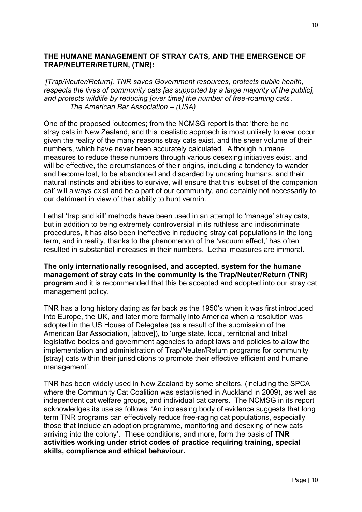#### **THE HUMANE MANAGEMENT OF STRAY CATS, AND THE EMERGENCE OF TRAP/NEUTER/RETURN, (TNR):**

*'[Trap/Neuter/Return], TNR saves Government resources, protects public health, respects the lives of community cats [as supported by a large majority of the public], and protects wildlife by reducing [over time] the number of free-roaming cats'. The American Bar Association – (USA)*

One of the proposed 'outcomes; from the NCMSG report is that 'there be no stray cats in New Zealand, and this idealistic approach is most unlikely to ever occur given the reality of the many reasons stray cats exist, and the sheer volume of their numbers, which have never been accurately calculated. Although humane measures to reduce these numbers through various desexing initiatives exist, and will be effective, the circumstances of their origins, including a tendency to wander and become lost, to be abandoned and discarded by uncaring humans, and their natural instincts and abilities to survive, will ensure that this 'subset of the companion cat' will always exist and be a part of our community, and certainly not necessarily to our detriment in view of their ability to hunt vermin.

Lethal 'trap and kill' methods have been used in an attempt to 'manage' stray cats, but in addition to being extremely controversial in its ruthless and indiscriminate procedures, it has also been ineffective in reducing stray cat populations in the long term, and in reality, thanks to the phenomenon of the 'vacuum effect,' has often resulted in substantial increases in their numbers. Lethal measures are immoral.

**The only internationally recognised, and accepted, system for the humane management of stray cats in the community is the Trap/Neuter/Return (TNR) program** and it is recommended that this be accepted and adopted into our stray cat management policy.

TNR has a long history dating as far back as the 1950's when it was first introduced into Europe, the UK, and later more formally into America when a resolution was adopted in the US House of Delegates (as a result of the submission of the American Bar Association, [above]), to 'urge state, local, territorial and tribal legislative bodies and government agencies to adopt laws and policies to allow the implementation and administration of Trap/Neuter/Return programs for community [stray] cats within their jurisdictions to promote their effective efficient and humane management'.

TNR has been widely used in New Zealand by some shelters, (including the SPCA where the Community Cat Coalition was established in Auckland in 2009), as well as independent cat welfare groups, and individual cat carers. The NCMSG in its report acknowledges its use as follows: 'An increasing body of evidence suggests that long term TNR programs can effectively reduce free-raging cat populations, especially those that include an adoption programme, monitoring and desexing of new cats arriving into the colony'. These conditions, and more, form the basis of **TNR activities working under strict codes of practice requiring training, special skills, compliance and ethical behaviour.**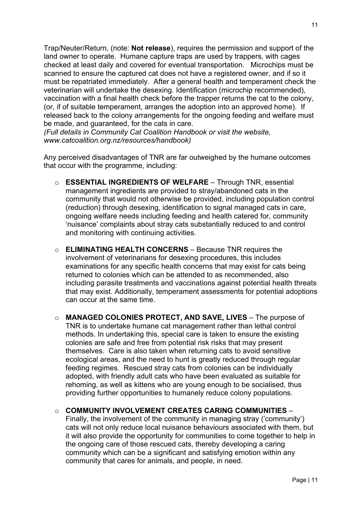Trap/Neuter/Return, (note: **Not release**), requires the permission and support of the land owner to operate. Humane capture traps are used by trappers, with cages checked at least daily and covered for eventual transportation. Microchips must be scanned to ensure the captured cat does not have a registered owner, and if so it must be repatriated immediately. After a general health and temperament check the veterinarian will undertake the desexing. Identification (microchip recommended), vaccination with a final health check before the trapper returns the cat to the colony, (or, if of suitable temperament, arranges the adoption into an approved home). If released back to the colony arrangements for the ongoing feeding and welfare must be made, and guaranteed, for the cats in care.

*(Full details in Community Cat Coalition Handbook or visit the website, www.catcoalition.org.nz/resources/handbook)*

Any perceived disadvantages of TNR are far outweighed by the humane outcomes that occur with the programme, including:

- o **ESSENTIAL INGREDIENTS OF WELFARE**  Through TNR, essential management ingredients are provided to stray/abandoned cats in the community that would not otherwise be provided, including population control (reduction) through desexing, identification to signal managed cats in care, ongoing welfare needs including feeding and health catered for, community 'nuisance' complaints about stray cats substantially reduced to and control and monitoring with continuing activities.
- o **ELIMINATING HEALTH CONCERNS**  Because TNR requires the involvement of veterinarians for desexing procedures, this includes examinations for any specific health concerns that may exist for cats being returned to colonies which can be attended to as recommended, also including parasite treatments and vaccinations against potential health threats that may exist. Additionally, temperament assessments for potential adoptions can occur at the same time.
- o **MANAGED COLONIES PROTECT, AND SAVE, LIVES** The purpose of TNR is to undertake humane cat management rather than lethal control methods. In undertaking this, special care is taken to ensure the existing colonies are safe and free from potential risk risks that may present themselves. Care is also taken when returning cats to avoid sensitive ecological areas, and the need to hunt is greatly reduced through regular feeding regimes. Rescued stray cats from colonies can be individually adopted, with friendly adult cats who have been evaluated as suitable for rehoming, as well as kittens who are young enough to be socialised, thus providing further opportunities to humanely reduce colony populations.

## o **COMMUNITY INVOLVEMENT CREATES CARING COMMUNITIES** –

Finally, the involvement of the community in managing stray ('community') cats will not only reduce local nuisance behaviours associated with them, but it will also provide the opportunity for communities to come together to help in the ongoing care of those rescued cats, thereby developing a caring community which can be a significant and satisfying emotion within any community that cares for animals, and people, in need.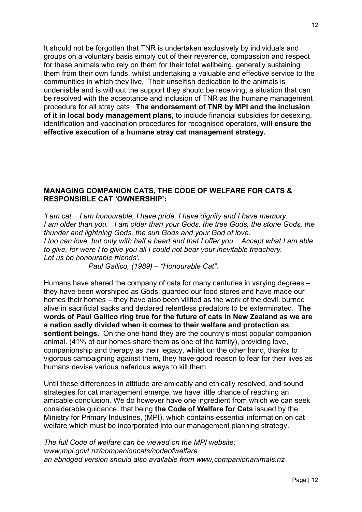It should not be forgotten that TNR is undertaken exclusively by individuals and groups on a voluntary basis simply out of their reverence, compassion and respect for these animals who rely on them for their total wellbeing, generally sustaining them from their own funds, whilst undertaking a valuable and effective service to the communities in which they live. Their unselfish dedication to the animals is undeniable and is without the support they should be receiving, a situation that can be resolved with the acceptance and inclusion of TNR as the humane management procedure for all stray cats **The endorsement of TNR by MPI and the inclusion of it in local body management plans,** to include financial subsidies for desexing, identification and vaccination procedures for recognised operators, **will ensure the effective execution of a humane stray cat management strategy.** 

#### **MANAGING COMPANION CATS, THE CODE OF WELFARE FOR CATS & RESPONSIBLE CAT 'OWNERSHIP':**

*'I am cat. I am honourable, I have pride, I have dignity and I have memory. I am older than you.* I am older than your Gods, the tree Gods, the stone Gods, the *thunder and lightning Gods, the sun Gods and your God of love. I too can love, but only with half a heart and that I offer you. Accept what I am able to give, for were I to give you all I could not bear your inevitable treachery. Let us be honourable friends'.*

 *Paul Gallico, (1989) – "Honourable Cat".*

Humans have shared the company of cats for many centuries in varying degrees – they have been worshiped as Gods, guarded our food stores and have made our homes their homes – they have also been vilified as the work of the devil, burned alive in sacrificial sacks and declared relentless predators to be exterminated. **The words of Paul Gallico ring true for the future of cats in New Zealand as we are a nation sadly divided when it comes to their welfare and protection as sentient beings.** On the one hand they are the country's most popular companion animal. (41% of our homes share them as one of the family), providing love, companionship and therapy as their legacy, whilst on the other hand, thanks to vigorous campaigning against them, they have good reason to fear for their lives as humans devise various nefarious ways to kill them.

Until these differences in attitude are amicably and ethically resolved, and sound strategies for cat management emerge, we have little chance of reaching an amicable conclusion. We do however have one ingredient from which we can seek considerable guidance, that being **the Code of Welfare for Cats** issued by the Ministry for Primary Industries, (MPI), which contains essential information on cat welfare which must be incorporated into our management planning strategy.

*The full Code of welfare can be viewed on the MPI website: www,mpi.govt.nz/companioncats/codeofwelfare an abridged version should also available from www,companionanimals.nz*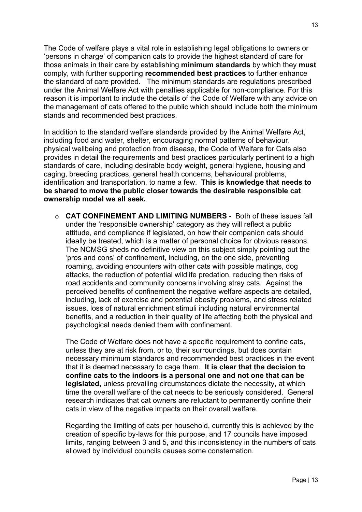The Code of welfare plays a vital role in establishing legal obligations to owners or 'persons in charge' of companion cats to provide the highest standard of care for those animals in their care by establishing **minimum standards** by which they **must** comply, with further supporting **recommended best practices** to further enhance the standard of care provided. The minimum standards are regulations prescribed under the Animal Welfare Act with penalties applicable for non-compliance. For this reason it is important to include the details of the Code of Welfare with any advice on the management of cats offered to the public which should include both the minimum stands and recommended best practices.

In addition to the standard welfare standards provided by the Animal Welfare Act, including food and water, shelter, encouraging normal patterns of behaviour. physical wellbeing and protection from disease, the Code of Welfare for Cats also provides in detail the requirements and best practices particularly pertinent to a high standards of care, including desirable body weight, general hygiene, housing and caging, breeding practices, general health concerns, behavioural problems, identification and transportation, to name a few. **This is knowledge that needs to be shared to move the public closer towards the desirable responsible cat ownership model we all seek.**

o **CAT CONFINEMENT AND LIMITING NUMBERS -** Both of these issues fall under the 'responsible ownership' category as they will reflect a public attitude, and compliance if legislated, on how their companion cats should ideally be treated, which is a matter of personal choice for obvious reasons. The NCMSG sheds no definitive view on this subject simply pointing out the 'pros and cons' of confinement, including, on the one side, preventing roaming, avoiding encounters with other cats with possible matings, dog attacks, the reduction of potential wildlife predation, reducing then risks of road accidents and community concerns involving stray cats. Against the perceived benefits of confinement the negative welfare aspects are detailed, including, lack of exercise and potential obesity problems, and stress related issues, loss of natural enrichment stimuli including natural environmental benefits, and a reduction in their quality of life affecting both the physical and psychological needs denied them with confinement.

The Code of Welfare does not have a specific requirement to confine cats, unless they are at risk from, or to, their surroundings, but does contain necessary minimum standards and recommended best practices in the event that it is deemed necessary to cage them. **It is clear that the decision to confine cats to the indoors is a personal one and not one that can be legislated,** unless prevailing circumstances dictate the necessity, at which time the overall welfare of the cat needs to be seriously considered. General research indicates that cat owners are reluctant to permanently confine their cats in view of the negative impacts on their overall welfare.

Regarding the limiting of cats per household, currently this is achieved by the creation of specific by-laws for this purpose, and 17 councils have imposed limits, ranging between 3 and 5, and this inconsistency in the numbers of cats allowed by individual councils causes some consternation.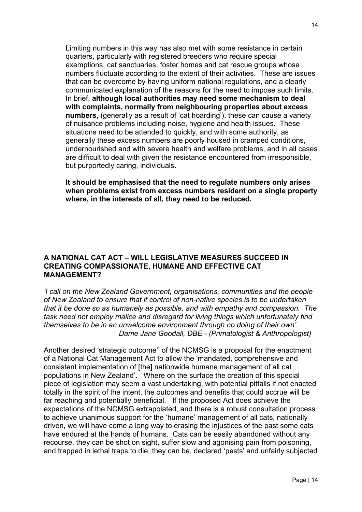Limiting numbers in this way has also met with some resistance in certain quarters, particularly with registered breeders who require special exemptions, cat sanctuaries, foster homes and cat rescue groups whose numbers fluctuate according to the extent of their activities. These are issues that can be overcome by having uniform national regulations, and a clearly communicated explanation of the reasons for the need to impose such limits. In brief, **although local authorities may need some mechanism to deal with complaints, normally from neighbouring properties about excess numbers,** (generally as a result of 'cat hoarding'), these can cause a variety of nuisance problems including noise, hygiene and health issues. These situations need to be attended to quickly, and with some authority, as generally these excess numbers are poorly housed in cramped conditions, undernourished and with severe health and welfare problems, and in all cases are difficult to deal with given the resistance encountered from irresponsible, but purportedly caring, individuals.

**It should be emphasised that the need to regulate numbers only arises when problems exist from excess numbers resident on a single property where, in the interests of all, they need to be reduced.**

#### **A NATIONAL CAT ACT – WILL LEGISLATIVE MEASURES SUCCEED IN CREATING COMPASSIONATE, HUMANE AND EFFECTIVE CAT MANAGEMENT?**

*'I call on the New Zealand Government, organisations, communities and the people of New Zealand to ensure that if control of non-native species is to be undertaken that it be done so as humanely as possible, and with empathy and compassion. The task need not employ malice and disregard for living things which unfortunately find themselves to be in an unwelcome environment through no doing of their own'. Dame Jane Goodall, DBE - (Primatologist & Anthropologist)* 

Another desired 'strategic outcome'' of the NCMSG is a proposal for the enactment of a National Cat Management Act to allow the 'mandated, comprehensive and consistent implementation of [the] nationwide humane management of all cat populations in New Zealand'. Where on the surface the creation of this special piece of legislation may seem a vast undertaking, with potential pitfalls if not enacted totally in the spirit of the intent, the outcomes and benefits that could accrue will be far reaching and potentially beneficial. If the proposed Act does achieve the expectations of the NCMSG extrapolated, and there is a robust consultation process to achieve unanimous support for the 'humane' management of all cats, nationally driven, we will have come a long way to erasing the injustices of the past some cats have endured at the hands of humans. Cats can be easily abandoned without any recourse, they can be shot on sight, suffer slow and agonising pain from poisoning, and trapped in lethal traps to die, they can be, declared 'pests' and unfairly subjected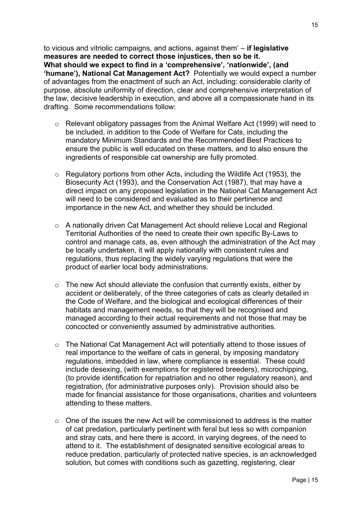to vicious and vitriolic campaigns, and actions, against them' – **if legislative measures are needed to correct those injustices, then so be it. What should we expect to find in a 'comprehensive', 'nationwide', (and 'humane'), National Cat Management Act?** Potentially we would expect a number of advantages from the enactment of such an Act, including: considerable clarity of purpose, absolute uniformity of direction, clear and comprehensive interpretation of the law, decisive leadership in execution, and above all a compassionate hand in its drafting. Some recommendations follow:

- o Relevant obligatory passages from the Animal Welfare Act (1999) will need to be included, in addition to the Code of Welfare for Cats, including the mandatory Minimum Standards and the Recommended Best Practices to ensure the public is well educated on these matters, and to also ensure the ingredients of responsible cat ownership are fully promoted.
- o Regulatory portions from other Acts, including the Wildlife Act (1953), the Biosecurity Act (1993), and the Conservation Act (1987), that may have a direct impact on any proposed legislation in the National Cat Management Act will need to be considered and evaluated as to their pertinence and importance in the new Act, and whether they should be included.
- $\circ$  A nationally driven Cat Management Act should relieve Local and Regional Territorial Authorities of the need to create their own specific By-Laws to control and manage cats, as, even although the administration of the Act may be locally undertaken, it will apply nationally with consistent rules and regulations, thus replacing the widely varying regulations that were the product of earlier local body administrations.
- o The new Act should alleviate the confusion that currently exists, either by accident or deliberately, of the three categories of cats as clearly detailed in the Code of Welfare, and the biological and ecological differences of their habitats and management needs, so that they will be recognised and managed according to their actual requirements and not those that may be concocted or conveniently assumed by administrative authorities.
- o The National Cat Management Act will potentially attend to those issues of real importance to the welfare of cats in general, by imposing mandatory regulations, imbedded in law, where compliance is essential. These could include desexing, (with exemptions for registered breeders), microchipping, (to provide identification for repatriation and no other regulatory reason), and registration, (for administrative purposes only). Provision should also be made for financial assistance for those organisations, charities and volunteers attending to these matters.
- $\circ$  One of the issues the new Act will be commissioned to address is the matter of cat predation, particularly pertinent with feral but less so with companion and stray cats, and here there is accord, in varying degrees, of the need to attend to it. The establishment of designated sensitive ecological areas to reduce predation, particularly of protected native species, is an acknowledged solution, but comes with conditions such as gazetting, registering, clear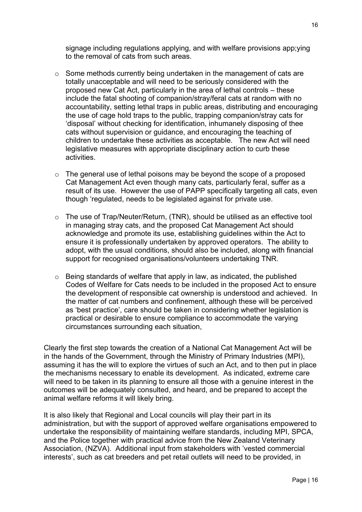signage including regulations applying, and with welfare provisions app;ying to the removal of cats from such areas.

- $\circ$  Some methods currently being undertaken in the management of cats are totally unacceptable and will need to be seriously considered with the proposed new Cat Act, particularly in the area of lethal controls – these include the fatal shooting of companion/stray/feral cats at random with no accountability, setting lethal traps in public areas, distributing and encouraging the use of cage hold traps to the public, trapping companion/stray cats for 'disposal' without checking for identification, inhumanely disposing of thee cats without supervision or guidance, and encouraging the teaching of children to undertake these activities as acceptable. The new Act will need legislative measures with appropriate disciplinary action to curb these activities.
- $\circ$  The general use of lethal poisons may be beyond the scope of a proposed Cat Management Act even though many cats, particularly feral, suffer as a result of its use. However the use of PAPP specifically targeting all cats, even though 'regulated, needs to be legislated against for private use.
- o The use of Trap/Neuter/Return, (TNR), should be utilised as an effective tool in managing stray cats, and the proposed Cat Management Act should acknowledge and promote its use, establishing guidelines within the Act to ensure it is professionally undertaken by approved operators. The ability to adopt, with the usual conditions, should also be included, along with financial support for recognised organisations/volunteers undertaking TNR.
- o Being standards of welfare that apply in law, as indicated, the published Codes of Welfare for Cats needs to be included in the proposed Act to ensure the development of responsible cat ownership is understood and achieved. In the matter of cat numbers and confinement, although these will be perceived as 'best practice', care should be taken in considering whether legislation is practical or desirable to ensure compliance to accommodate the varying circumstances surrounding each situation,

Clearly the first step towards the creation of a National Cat Management Act will be in the hands of the Government, through the Ministry of Primary Industries (MPI), assuming it has the will to explore the virtues of such an Act, and to then put in place the mechanisms necessary to enable its development. As indicated, extreme care will need to be taken in its planning to ensure all those with a genuine interest in the outcomes will be adequately consulted, and heard, and be prepared to accept the animal welfare reforms it will likely bring.

It is also likely that Regional and Local councils will play their part in its administration, but with the support of approved welfare organisations empowered to undertake the responsibility of maintaining welfare standards, including MPI, SPCA, and the Police together with practical advice from the New Zealand Veterinary Association, (NZVA). Additional input from stakeholders with 'vested commercial interests', such as cat breeders and pet retail outlets will need to be provided, in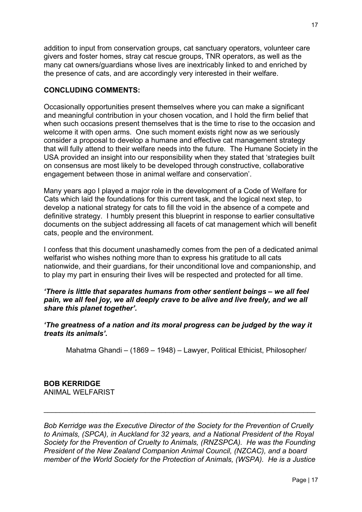addition to input from conservation groups, cat sanctuary operators, volunteer care givers and foster homes, stray cat rescue groups, TNR operators, as well as the many cat owners/guardians whose lives are inextricably linked to and enriched by the presence of cats, and are accordingly very interested in their welfare.

## **CONCLUDING COMMENTS:**

Occasionally opportunities present themselves where you can make a significant and meaningful contribution in your chosen vocation, and I hold the firm belief that when such occasions present themselves that is the time to rise to the occasion and welcome it with open arms. One such moment exists right now as we seriously consider a proposal to develop a humane and effective cat management strategy that will fully attend to their welfare needs into the future. The Humane Society in the USA provided an insight into our responsibility when they stated that 'strategies built on consensus are most likely to be developed through constructive, collaborative engagement between those in animal welfare and conservation'.

Many years ago I played a major role in the development of a Code of Welfare for Cats which laid the foundations for this current task, and the logical next step, to develop a national strategy for cats to fill the void in the absence of a compete and definitive strategy. I humbly present this blueprint in response to earlier consultative documents on the subject addressing all facets of cat management which will benefit cats, people and the environment.

I confess that this document unashamedly comes from the pen of a dedicated animal welfarist who wishes nothing more than to express his gratitude to all cats nationwide, and their guardians, for their unconditional love and companionship, and to play my part in ensuring their lives will be respected and protected for all time.

#### *'There is little that separates humans from other sentient beings – we all feel*  pain, we all feel joy, we all deeply crave to be alive and live freely, and we all *share this planet together'.*

*'The greatness of a nation and its moral progress can be judged by the way it treats its animals'.*

Mahatma Ghandi – (1869 – 1948) – Lawyer, Political Ethicist, Philosopher/

#### **BOB KERRIDGE** ANIMAL WELFARIST

*Bob Kerridge was the Executive Director of the Society for the Prevention of Cruelly to Animals, (SPCA), in Auckland for 32 years, and a National President of the Royal Society for the Prevention of Cruelty to Animals, (RNZSPCA). He was the Founding President of the New Zealand Companion Animal Council, (NZCAC), and a board member of the World Society for the Protection of Animals, (WSPA). He is a Justice* 

\_\_\_\_\_\_\_\_\_\_\_\_\_\_\_\_\_\_\_\_\_\_\_\_\_\_\_\_\_\_\_\_\_\_\_\_\_\_\_\_\_\_\_\_\_\_\_\_\_\_\_\_\_\_\_\_\_\_\_\_\_\_\_\_\_\_\_